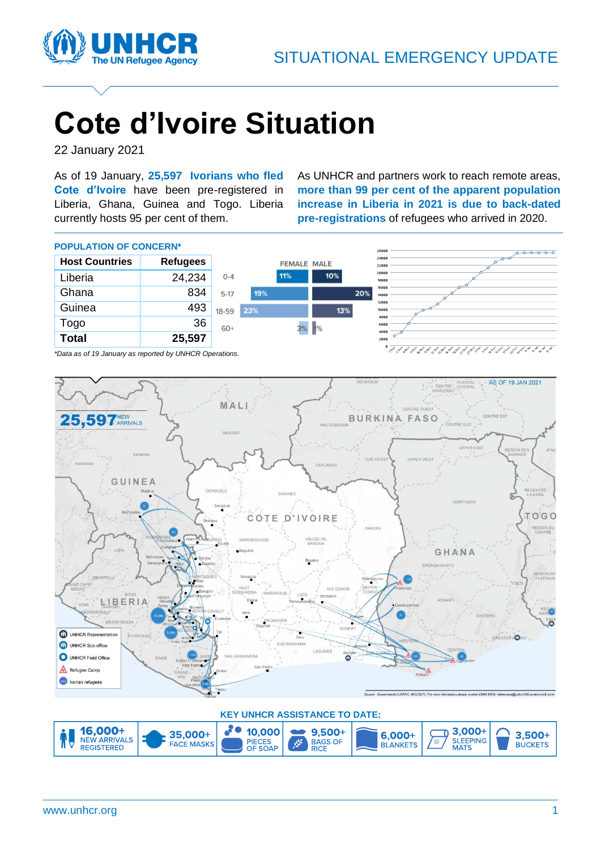

# **Cote d'Ivoire Situation**

22 January 2021

As of 19 January, **25,597 Ivorians who fled Cote d'Ivoire** have been pre-registered in Liberia, Ghana, Guinea and Togo. Liberia currently hosts 95 per cent of them.

As UNHCR and partners work to reach remote areas, **more than 99 per cent of the apparent population increase in Liberia in 2021 is due to back-dated pre-registrations** of refugees who arrived in 2020.

26000

#### **POPULATION OF CONCERN\***

| <b>Host Countries</b> | <b>Refugees</b> |           |     | <b>FEMALE MALE</b> |     |     | 24000<br>22000 |                                                                                                                                     |
|-----------------------|-----------------|-----------|-----|--------------------|-----|-----|----------------|-------------------------------------------------------------------------------------------------------------------------------------|
| Liberia               | 24,234          | $0 - 4$   |     | 11%                | 10% |     | 20000<br>18000 |                                                                                                                                     |
| Ghana                 | 834             | $5 - 17$  | 19% |                    |     | 20% | 16000<br>14000 |                                                                                                                                     |
| Guinea                | 493             | $18 - 59$ | 23% |                    |     | 13% | 12000<br>10000 |                                                                                                                                     |
| Togo                  | 36              | $60+$     |     | 3%                 | 1%  |     | 8000<br>6000   |                                                                                                                                     |
| <b>Total</b>          | 25,597          |           |     |                    |     |     | 4000<br>2000   |                                                                                                                                     |
|                       | .               |           |     |                    |     |     |                | المحمد المحمد المحمد المحمد المحر المحمد المحمد المحمد المحمد المحبر المحبر المحبر المحبر المحبر المحبر المحبر المحبر المحبر المحبر |

*\*Data as of 19 January as reported by UNHCR Operations.*



#### **KEY UNHCR ASSISTANCE TO DATE:**

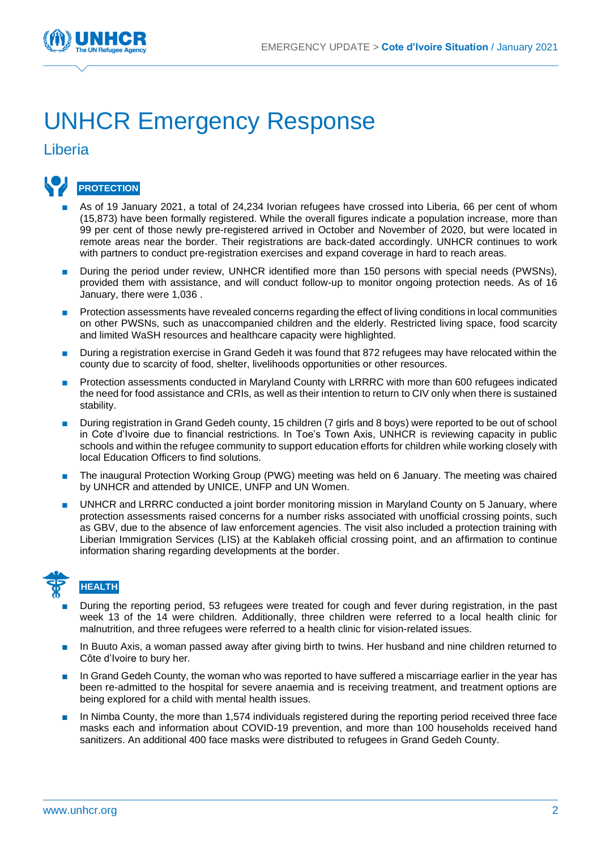

## UNHCR Emergency Response

Liberia



- As of 19 January 2021, a total of 24,234 Ivorian refugees have crossed into Liberia, 66 per cent of whom (15,873) have been formally registered. While the overall figures indicate a population increase, more than 99 per cent of those newly pre-registered arrived in October and November of 2020, but were located in remote areas near the border. Their registrations are back-dated accordingly. UNHCR continues to work with partners to conduct pre-registration exercises and expand coverage in hard to reach areas.
- During the period under review, UNHCR identified more than 150 persons with special needs (PWSNs), provided them with assistance, and will conduct follow-up to monitor ongoing protection needs. As of 16 January, there were 1,036 .
- Protection assessments have revealed concerns regarding the effect of living conditions in local communities on other PWSNs, such as unaccompanied children and the elderly. Restricted living space, food scarcity and limited WaSH resources and healthcare capacity were highlighted.
- During a registration exercise in Grand Gedeh it was found that 872 refugees may have relocated within the county due to scarcity of food, shelter, livelihoods opportunities or other resources.
- Protection assessments conducted in Maryland County with LRRRC with more than 600 refugees indicated the need for food assistance and CRIs, as well as their intention to return to CIV only when there is sustained stability.
- During registration in Grand Gedeh county, 15 children (7 girls and 8 boys) were reported to be out of school in Cote d'Ivoire due to financial restrictions. In Toe's Town Axis, UNHCR is reviewing capacity in public schools and within the refugee community to support education efforts for children while working closely with local Education Officers to find solutions.
- The inaugural Protection Working Group (PWG) meeting was held on 6 January. The meeting was chaired by UNHCR and attended by UNICE, UNFP and UN Women.
- UNHCR and LRRRC conducted a joint border monitoring mission in Maryland County on 5 January, where protection assessments raised concerns for a number risks associated with unofficial crossing points, such as GBV, due to the absence of law enforcement agencies. The visit also included a protection training with Liberian Immigration Services (LIS) at the Kablakeh official crossing point, and an affirmation to continue information sharing regarding developments at the border.



- During the reporting period, 53 refugees were treated for cough and fever during registration, in the past week 13 of the 14 were children. Additionally, three children were referred to a local health clinic for malnutrition, and three refugees were referred to a health clinic for vision-related issues.
- In Buuto Axis, a woman passed away after giving birth to twins. Her husband and nine children returned to Côte d'Ivoire to bury her.
- In Grand Gedeh County, the woman who was reported to have suffered a miscarriage earlier in the year has been re-admitted to the hospital for severe anaemia and is receiving treatment, and treatment options are being explored for a child with mental health issues.
- In Nimba County, the more than 1,574 individuals registered during the reporting period received three face masks each and information about COVID-19 prevention, and more than 100 households received hand sanitizers. An additional 400 face masks were distributed to refugees in Grand Gedeh County.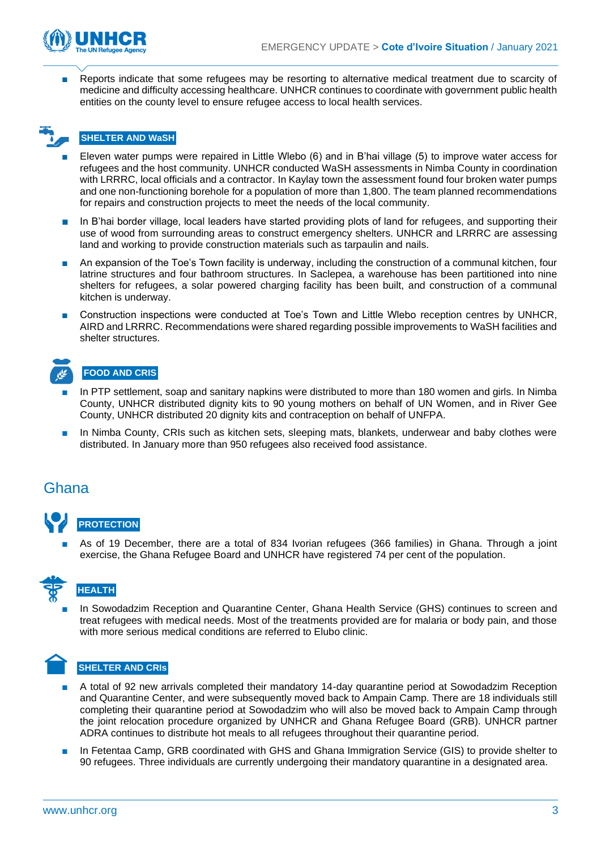



Reports indicate that some refugees may be resorting to alternative medical treatment due to scarcity of medicine and difficulty accessing healthcare. UNHCR continues to coordinate with government public health entities on the county level to ensure refugee access to local health services.

## **SHELTER AND WaSH**

- Eleven water pumps were repaired in Little Wlebo (6) and in B'hai village (5) to improve water access for refugees and the host community. UNHCR conducted WaSH assessments in Nimba County in coordination with LRRRC, local officials and a contractor. In Kaylay town the assessment found four broken water pumps and one non-functioning borehole for a population of more than 1,800. The team planned recommendations for repairs and construction projects to meet the needs of the local community.
- In B'hai border village, local leaders have started providing plots of land for refugees, and supporting their use of wood from surrounding areas to construct emergency shelters. UNHCR and LRRRC are assessing land and working to provide construction materials such as tarpaulin and nails.
- An expansion of the Toe's Town facility is underway, including the construction of a communal kitchen, four latrine structures and four bathroom structures. In Saclepea, a warehouse has been partitioned into nine shelters for refugees, a solar powered charging facility has been built, and construction of a communal kitchen is underway.
- Construction inspections were conducted at Toe's Town and Little Wlebo reception centres by UNHCR, AIRD and LRRRC. Recommendations were shared regarding possible improvements to WaSH facilities and shelter structures.

## **FOOD AND CRIS**

- In PTP settlement, soap and sanitary napkins were distributed to more than 180 women and girls. In Nimba County, UNHCR distributed dignity kits to 90 young mothers on behalf of UN Women, and in River Gee County, UNHCR distributed 20 dignity kits and contraception on behalf of UNFPA.
- In Nimba County, CRIs such as kitchen sets, sleeping mats, blankets, underwear and baby clothes were distributed. In January more than 950 refugees also received food assistance.

#### Ghana



As of 19 December, there are a total of 834 Ivorian refugees (366 families) in Ghana. Through a joint exercise, the Ghana Refugee Board and UNHCR have registered 74 per cent of the population.



#### **HEALTH**

In Sowodadzim Reception and Quarantine Center, Ghana Health Service (GHS) continues to screen and treat refugees with medical needs. Most of the treatments provided are for malaria or body pain, and those with more serious medical conditions are referred to Elubo clinic.



#### **SHELTER AND CRIs**

- A total of 92 new arrivals completed their mandatory 14-day quarantine period at Sowodadzim Reception and Quarantine Center, and were subsequently moved back to Ampain Camp. There are 18 individuals still completing their quarantine period at Sowodadzim who will also be moved back to Ampain Camp through the joint relocation procedure organized by UNHCR and Ghana Refugee Board (GRB). UNHCR partner ADRA continues to distribute hot meals to all refugees throughout their quarantine period.
- In Fetentaa Camp, GRB coordinated with GHS and Ghana Immigration Service (GIS) to provide shelter to 90 refugees. Three individuals are currently undergoing their mandatory quarantine in a designated area.